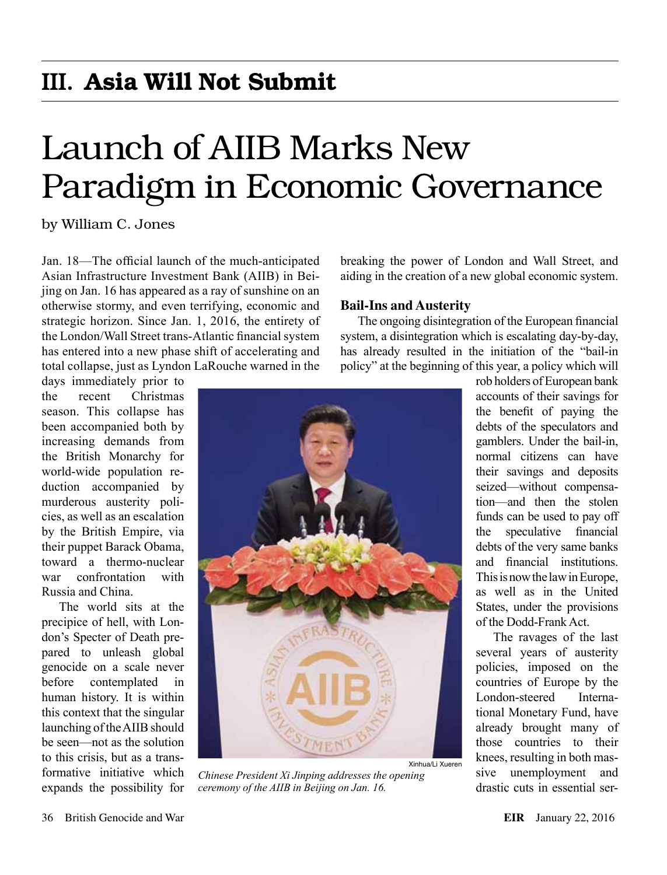## III. Asia Will Not Submit

# Launch of AIIB Marks New Paradigm in Economic Governance

by William C. Jones

Jan. 18—The official launch of the much-anticipated Asian Infrastructure Investment Bank (AIIB) in Beijing on Jan. 16 has appeared as a ray of sunshine on an otherwise stormy, and even terrifying, economic and strategic horizon. Since Jan. 1, 2016, the entirety of the London/Wall Street trans-Atlantic financial system has entered into a new phase shift of accelerating and total collapse, just as Lyndon LaRouche warned in the

days immediately prior to the recent Christmas season. This collapse has been accompanied both by increasing demands from the British Monarchy for world-wide population reduction accompanied by murderous austerity policies, as well as an escalation by the British Empire, via their puppet Barack Obama, toward a thermo-nuclear war confrontation with Russia and China.

The world sits at the precipice of hell, with London's Specter of Death prepared to unleash global genocide on a scale never before contemplated in human history. It is within this context that the singular launching of the AIIB should be seen—not as the solution to this crisis, but as a transformative initiative which expands the possibility for

breaking the power of London and Wall Street, and aiding in the creation of a new global economic system.

#### **Bail-Ins and Austerity**

The ongoing disintegration of the European financial system, a disintegration which is escalating day-by-day, has already resulted in the initiation of the "bail-in policy" at the beginning of this year, a policy which will



*Chinese President Xi Jinping addresses the opening ceremony of the AIIB in Beijing on Jan. 16.*

rob holders of European bank accounts of their savings for the benefit of paying the debts of the speculators and gamblers. Under the bail-in, normal citizens can have their savings and deposits seized—without compensation—and then the stolen funds can be used to pay off the speculative financial debts of the very same banks and financial institutions. This is now the law in Europe, as well as in the United States, under the provisions of the Dodd-Frank Act.

The ravages of the last several years of austerity policies, imposed on the countries of Europe by the London-steered International Monetary Fund, have already brought many of those countries to their knees, resulting in both massive unemployment and drastic cuts in essential ser-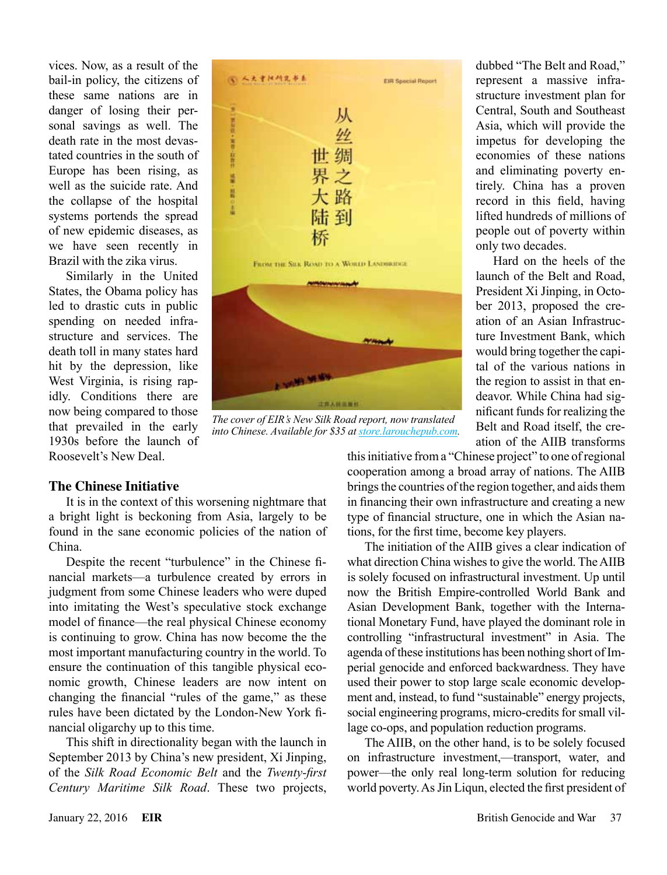vices. Now, as a result of the bail-in policy, the citizens of these same nations are in danger of losing their personal savings as well. The death rate in the most devastated countries in the south of Europe has been rising, as well as the suicide rate. And the collapse of the hospital systems portends the spread of new epidemic diseases, as we have seen recently in Brazil with the zika virus.

Similarly in the United States, the Obama policy has led to drastic cuts in public spending on needed infrastructure and services. The death toll in many states hard hit by the depression, like West Virginia, is rising rapidly. Conditions there are now being compared to those that prevailed in the early 1930s before the launch of Roosevelt's New Deal.





*The cover of EIR's New Silk Road report, now translated into Chinese. Available for \$35 at [store.larouchepub.com](http://store.larouchepub.com/SearchResults.asp?Search=new+silk+road+chinese&Submit=Search).*

dubbed "The Belt and Road," represent a massive infrastructure investment plan for Central, South and Southeast Asia, which will provide the impetus for developing the economies of these nations and eliminating poverty entirely. China has a proven record in this field, having lifted hundreds of millions of people out of poverty within only two decades.

Hard on the heels of the launch of the Belt and Road, President Xi Jinping, in October 2013, proposed the creation of an Asian Infrastructure Investment Bank, which would bring together the capital of the various nations in the region to assist in that endeavor. While China had significant funds for realizing the Belt and Road itself, the creation of the AIIB transforms

### **The Chinese Initiative**

It is in the context of this worsening nightmare that a bright light is beckoning from Asia, largely to be found in the sane economic policies of the nation of China.

Despite the recent "turbulence" in the Chinese financial markets—a turbulence created by errors in judgment from some Chinese leaders who were duped into imitating the West's speculative stock exchange model of finance—the real physical Chinese economy is continuing to grow. China has now become the the most important manufacturing country in the world. To ensure the continuation of this tangible physical economic growth, Chinese leaders are now intent on changing the financial "rules of the game," as these rules have been dictated by the London-New York financial oligarchy up to this time.

This shift in directionality began with the launch in September 2013 by China's new president, Xi Jinping, of the *Silk Road Economic Belt* and the *Twenty-first Century Maritime Silk Road*. These two projects, this initiative from a "Chinese project" to one of regional cooperation among a broad array of nations. The AIIB brings the countries of the region together, and aids them in financing their own infrastructure and creating a new type of financial structure, one in which the Asian nations, for the first time, become key players.

The initiation of the AIIB gives a clear indication of what direction China wishes to give the world. The AIIB is solely focused on infrastructural investment. Up until now the British Empire-controlled World Bank and Asian Development Bank, together with the International Monetary Fund, have played the dominant role in controlling "infrastructural investment" in Asia. The agenda of these institutions has been nothing short of Imperial genocide and enforced backwardness. They have used their power to stop large scale economic development and, instead, to fund "sustainable" energy projects, social engineering programs, micro-credits for small village co-ops, and population reduction programs.

The AIIB, on the other hand, is to be solely focused on infrastructure investment,—transport, water, and power—the only real long-term solution for reducing world poverty. As Jin Liqun, elected the first president of